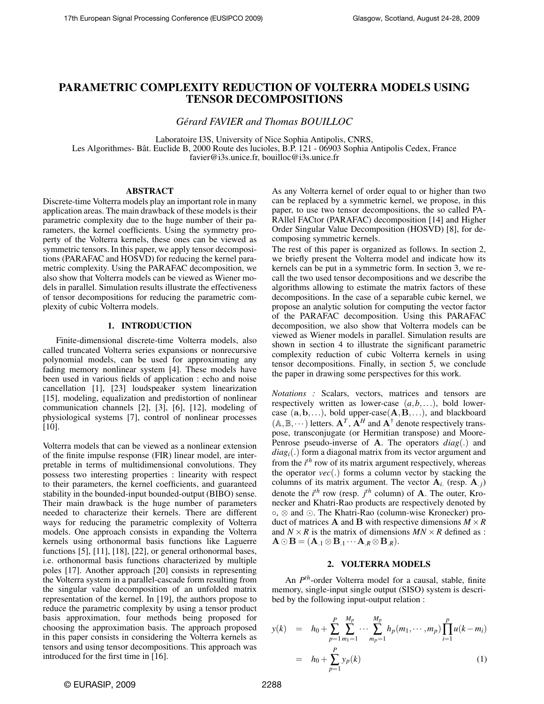# PARAMETRIC COMPLEXITY REDUCTION OF VOLTERRA MODELS USING TENSOR DECOMPOSITIONS

*Gérard FAVIER and Thomas BOUILLOC*

Laboratoire I3S, University of Nice Sophia Antipolis, CNRS, Les Algorithmes- Bât. Euclide B, 2000 Route des lucioles, B.P. 121 - 06903 Sophia Antipolis Cedex, France favier@i3s.unice.fr, bouilloc@i3s.unice.fr

## ABSTRACT

Discrete-time Volterra models play an important role in many application areas. The main drawback of these models is their parametric complexity due to the huge number of their parameters, the kernel coefficients. Using the symmetry property of the Volterra kernels, these ones can be viewed as symmetric tensors. In this paper, we apply tensor decompositions (PARAFAC and HOSVD) for reducing the kernel parametric complexity. Using the PARAFAC decomposition, we also show that Volterra models can be viewed as Wiener models in parallel. Simulation results illustrate the effectiveness of tensor decompositions for reducing the parametric complexity of cubic Volterra models.

## 1. INTRODUCTION

Finite-dimensional discrete-time Volterra models, also called truncated Volterra series expansions or nonrecursive polynomial models, can be used for approximating any fading memory nonlinear system [4]. These models have been used in various fields of application : echo and noise cancellation [1], [23] loudspeaker system linearization [15], modeling, equalization and predistortion of nonlinear communication channels [2], [3], [6], [12], modeling of physiological systems [7], control of nonlinear processes [10].

Volterra models that can be viewed as a nonlinear extension of the finite impulse response (FIR) linear model, are interpretable in terms of multidimensional convolutions. They possess two interesting properties : linearity with respect to their parameters, the kernel coefficients, and guaranteed stability in the bounded-input bounded-output (BIBO) sense. Their main drawback is the huge number of parameters needed to characterize their kernels. There are different ways for reducing the parametric complexity of Volterra models. One approach consists in expanding the Volterra kernels using orthonormal basis functions like Laguerre functions [5], [11], [18], [22], or general orthonormal bases, i.e. orthonormal basis functions characterized by multiple poles [17]. Another approach [20] consists in representing the Volterra system in a parallel-cascade form resulting from the singular value decomposition of an unfolded matrix representation of the kernel. In [19], the authors propose to reduce the parametric complexity by using a tensor product basis approximation, four methods being proposed for choosing the approximation basis. The approach proposed in this paper consists in considering the Volterra kernels as tensors and using tensor decompositions. This approach was introduced for the first time in [16].

As any Volterra kernel of order equal to or higher than two can be replaced by a symmetric kernel, we propose, in this paper, to use two tensor decompositions, the so called PA-RAllel FACtor (PARAFAC) decomposition [14] and Higher Order Singular Value Decomposition (HOSVD) [8], for decomposing symmetric kernels.

The rest of this paper is organized as follows. In section 2, we briefly present the Volterra model and indicate how its kernels can be put in a symmetric form. In section 3, we recall the two used tensor decompositions and we describe the algorithms allowing to estimate the matrix factors of these decompositions. In the case of a separable cubic kernel, we propose an analytic solution for computing the vector factor of the PARAFAC decomposition. Using this PARAFAC decomposition, we also show that Volterra models can be viewed as Wiener models in parallel. Simulation results are shown in section 4 to illustrate the significant parametric complexity reduction of cubic Volterra kernels in using tensor decompositions. Finally, in section 5, we conclude the paper in drawing some perspectives for this work.

*Notations :* Scalars, vectors, matrices and tensors are respectively written as lower-case (*a*,*b*,...), bold lowercase  $(a, b, \ldots)$ , bold upper-case $(A, B, \ldots)$ , and blackboard  $(A, B, \dots)$  letters.  $A^T$ ,  $A^H$  and  $A^{\dagger}$  denote respectively transpose, transconjugate (or Hermitian transpose) and Moore-Penrose pseudo-inverse of A. The operators *diag*(.) and *diagi*(.) form a diagonal matrix from its vector argument and from the *i th* row of its matrix argument respectively, whereas the operator *vec*(.) forms a column vector by stacking the columns of its matrix argument. The vector  $A_i$  (resp.  $A_i$ ) denote the  $i^{th}$  row (resp.  $j^{th}$  column) of **A**. The outer, Kronecker and Khatri-Rao products are respectively denoted by ◦, ⊗ and . The Khatri-Rao (column-wise Kronecker) product of matrices **A** and **B** with respective dimensions  $M \times R$ and  $N \times R$  is the matrix of dimensions  $MN \times R$  defined as :  $\mathbf{A} \odot \mathbf{B} = (\mathbf{A}_{.1} \otimes \mathbf{B}_{.1} \cdots \mathbf{A}_{.R} \otimes \mathbf{B}_{.R}).$ 

## 2. VOLTERRA MODELS

An *P th*-order Volterra model for a causal, stable, finite memory, single-input single output (SISO) system is described by the following input-output relation :

$$
y(k) = h_0 + \sum_{p=1}^{P} \sum_{m_1=1}^{M_p} \cdots \sum_{m_p=1}^{M_p} h_p(m_1, \cdots, m_p) \prod_{i=1}^{p} u(k - m_i)
$$
  
=  $h_0 + \sum_{p=1}^{P} y_p(k)$  (1)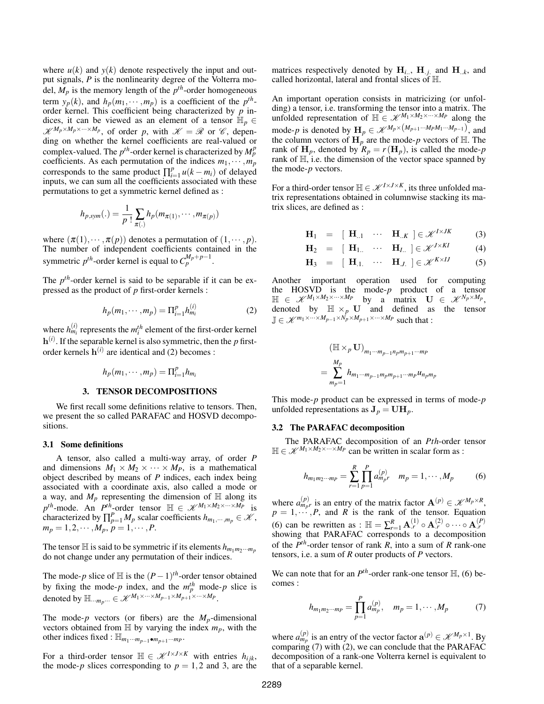where  $u(k)$  and  $y(k)$  denote respectively the input and output signals, *P* is the nonlinearity degree of the Volterra model,  $M_p$  is the memory length of the  $p^{th}$ -order homogeneous term  $y_p(k)$ , and  $h_p(m_1, \dots, m_p)$  is a coefficient of the  $p^{th}$ order kernel. This coefficient being characterized by *p* indices, it can be viewed as an element of a tensor  $\mathbb{H}_p \in$  $\mathscr{K}^{M_p \times M_p \times \dots \times M_p}$ , of order *p*, with  $\mathscr{K} = \mathscr{R}$  or  $\mathscr{C}$ , depending on whether the kernel coefficients are real-valued or complex-valued. The  $p^{th}$ -order kernel is characterized by  $M_p^p$ coefficients. As each permutation of the indices  $m_1, \dots, m_p$ corresponds to the same product  $\prod_{i=1}^{p} u(k - m_i)$  of delayed inputs, we can sum all the coefficients associated with these permutations to get a symmetric kernel defined as :

$$
h_{p,\text{sym}}(.) = \frac{1}{p!} \sum_{\pi(.)} h_p(m_{\pi(1)}, \cdots, m_{\pi(p)})
$$

where  $(\pi(1), \dots, \pi(p))$  denotes a permutation of  $(1, \dots, p)$ . The number of independent coefficients contained in the symmetric  $p^{th}$ -order kernel is equal to  $C_p^{M_p+p-1}$ .

The  $p<sup>th</sup>$ -order kernel is said to be separable if it can be expressed as the product of *p* first-order kernels :

$$
h_p(m_1, \cdots, m_p) = \Pi_{i=1}^p h_{m_i}^{(i)} \tag{2}
$$

where  $h_{m_i}^{(i)}$  represents the  $m_i^{th}$  element of the first-order kernel h (*i*) . If the separable kernel is also symmetric, then the *p* firstorder kernels  $h^{(i)}$  are identical and (2) becomes :

$$
h_p(m_1,\cdots,m_p)=\Pi_{i=1}^p h_{m_i}
$$

## 3. TENSOR DECOMPOSITIONS

We first recall some definitions relative to tensors. Then, we present the so called PARAFAC and HOSVD decompositions.

## 3.1 Some definitions

A tensor, also called a multi-way array, of order *P* and dimensions  $M_1 \times M_2 \times \cdots \times M_p$ , is a mathematical object described by means of *P* indices, each index being associated with a coordinate axis, also called a mode or a way, and  $M_p$  representing the dimension of  $\mathbb H$  along its  $p^{th}$ -mode. An *P*<sup>th</sup>-order tensor  $\mathbb{H} \in \mathcal{K}^{M_1 \times M_2 \times \cdots \times M_p}$  is characterized by  $\prod_{p=1}^{P} M_p$  scalar coefficients  $h_{m_1,\dots,m_p} \in \mathcal{K}$ ,  $m_p = 1, 2, \cdots, M_p, p = 1, \cdots, P.$ 

The tensor  $\mathbb{H}$  is said to be symmetric if its elements  $h_{m_1m_2\cdots m_p}$ do not change under any permutation of their indices.

The mode-*p* slice of  $\mathbb H$  is the  $(P-1)$ <sup>th</sup>-order tensor obtained by fixing the mode-*p* index, and the  $m_p^{th}$  mode-*p* slice is denoted by  $\mathbb{H}_{\cdots m_p \cdots} \in \mathcal{K}^{M_1 \times \cdots \times M_{p-1} \times M_{p+1} \times \cdots \times M_p}.$ 

The mode- $p$  vectors (or fibers) are the  $M_p$ -dimensional vectors obtained from  $\mathbb H$  by varying the index  $m_p$ , with the other indices fixed :  $\mathbb{H}_{m_1\cdots m_{p-1}\bullet m_{p+1}\cdots m_P}$ .

For a third-order tensor  $\mathbb{H} \in \mathcal{K}^{I \times J \times K}$  with entries  $h_{ijk}$ , the mode-*p* slices corresponding to  $p = 1,2$  and 3, are the

matrices respectively denoted by  $H_{i...}$ ,  $H_{.j...}$  and  $H_{..k}$ , and called horizontal, lateral and frontal slices of H.

An important operation consists in matricizing (or unfolding) a tensor, i.e. transforming the tensor into a matrix. The unfolded representation of  $\mathbb{H} \in \mathcal{K}^{M_1 \times M_2 \times \cdots \times M_p}$  along the mode-*p* is denoted by  $\mathbf{H}_p \in \mathcal{K}^{M_p \times (M_{p+1} \cdots M_p M_1 \cdots M_{p-1})}$ , and the column vectors of  $H_p$  are the mode-*p* vectors of  $H$ . The rank of  $H_p$ , denoted by  $R_p = r(H_p)$ , is called the mode-*p* rank of H, i.e. the dimension of the vector space spanned by the mode-*p* vectors.

For a third-order tensor  $\mathbb{H} \in \mathcal{K}^{I \times J \times K}$ , its three unfolded matrix representations obtained in columnwise stacking its matrix slices, are defined as :

$$
\mathbf{H}_1 = [\mathbf{H}_{..1} \cdots \mathbf{H}_{..K}] \in \mathcal{K}^{I \times JK} \tag{3}
$$

$$
\mathbf{H}_2 = [\mathbf{H}_{1..} \cdots \mathbf{H}_{I..}] \in \mathcal{K}^{J \times KI} \tag{4}
$$

$$
\mathbf{H}_3 = [\mathbf{H}_{.1} \cdots \mathbf{H}_{.J}]\in \mathscr{K}^{K\times IJ} \tag{5}
$$

Another important operation used for computing the HOSVD is the mode- $p$  product of a tensor  $\mathbb{H} \in \mathscr{K}^{M_1 \times M_2 \times \cdots \times M_p}$  by a matrix  $\mathbf{U} \in \mathscr{K}^{N_p \times M_p}$ , denoted by  $\mathbb{H} \times_p U$  and defined as the tensor  $\mathbb{J} \in \mathcal{K}^{m_1 \times \cdots \times M_{p-1} \times N_p \times M_{p+1} \times \cdots \times M_p}$  such that :

$$
(\mathbb{H} \times_p \mathbf{U})_{m_1 \cdots m_{p-1} n_p m_{p+1} \cdots m_P}
$$
  
= 
$$
\sum_{m_p=1}^{M_p} h_{m_1 \cdots m_{p-1} m_p m_{p+1} \cdots m_P} u_{n_p m_p}
$$

This mode-*p* product can be expressed in terms of mode-*p* unfolded representations as  $J_p = UH_p$ .

#### 3.2 The PARAFAC decomposition

The PARAFAC decomposition of an *Pth*-order tensor  $\mathbb{H} \in \mathcal{K}^{M_1 \times M_2 \times \cdots \times M_p}$  can be written in scalar form as :

$$
h_{m_1m_2\cdots m_P} = \sum_{r=1}^{R} \prod_{p=1}^{P} a_{m_p r}^{(p)} \quad m_p = 1, \cdots, M_p \tag{6}
$$

where  $a_{m_p}^{(p)}$  is an entry of the matrix factor  $\mathbf{A}^{(p)} \in \mathcal{K}^{M_p \times R}$ ,  $p = 1, \dots, P$ , and *R* is the rank of the tensor. Equation (6) can be rewritten as :  $\mathbb{H} = \sum_{r=1}^{R} \mathbf{A}_r^{(1)} \circ \mathbf{A}_r^{(2)} \circ \cdots \circ \mathbf{A}_r^{(P)}$  showing that PARAFAC corresponds to a decomposition of the *P th*-order tensor of rank *R*, into a sum of *R* rank-one tensors, i.e. a sum of *R* outer products of *P* vectors.

We can note that for an  $P^{th}$ -order rank-one tensor  $\mathbb{H}$ , (6) becomes :

$$
h_{m_1m_2\cdots m_P} = \prod_{p=1}^{P} a_{m_p}^{(p)}, \quad m_p = 1, \cdots, M_p \tag{7}
$$

where  $a_{m_p}^{(p)}$  is an entry of the vector factor  $\mathbf{a}^{(p)} \in \mathcal{K}^{M_p \times 1}$ . By comparing (7) with (2), we can conclude that the PARAFAC decomposition of a rank-one Volterra kernel is equivalent to that of a separable kernel.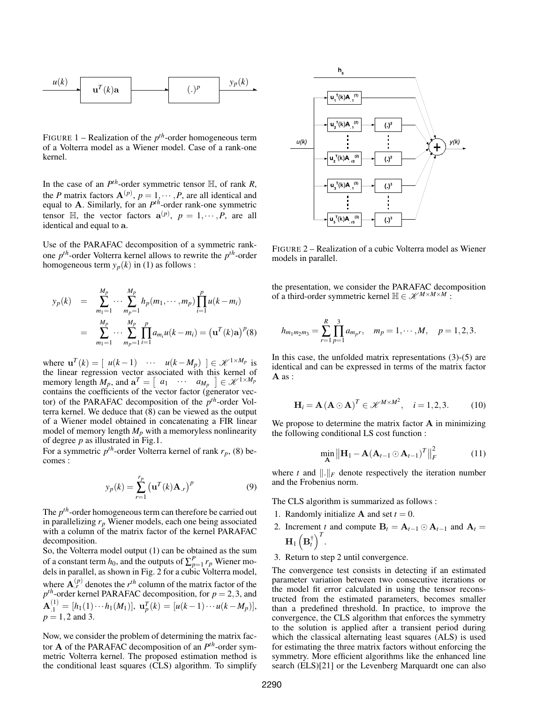

FIGURE 1 – Realization of the *p th*-order homogeneous term of a Volterra model as a Wiener model. Case of a rank-one kernel.

In the case of an  $P^{th}$ -order symmetric tensor  $\mathbb{H}$ , of rank *R*, the *P* matrix factors  $A^{(p)}$ ,  $p = 1, \dots, P$ , are all identical and equal to A. Similarly, for an *P th*-order rank-one symmetric tensor  $\mathbb{H}$ , the vector factors  $\mathbf{a}^{(p)}$ ,  $p = 1, \dots, P$ , are all identical and equal to a.

Use of the PARAFAC decomposition of a symmetric rankone *p th*-order Volterra kernel allows to rewrite the *p th*-order homogeneous term  $y_p(k)$  in (1) as follows :

$$
y_p(k) = \sum_{m_1=1}^{M_p} \cdots \sum_{m_p=1}^{M_p} h_p(m_1, \cdots, m_p) \prod_{i=1}^p u(k - m_i)
$$
  
= 
$$
\sum_{m_1=1}^{M_p} \cdots \sum_{m_p=1}^{M_p} \prod_{i=1}^p a_{m_i} u(k - m_i) = (\mathbf{u}^{T}(k)\mathbf{a})^{p}(8)
$$

where  $\mathbf{u}^T(k) = [u(k-1) \cdots u(k-M_p)] \in \mathcal{K}^{1 \times M_p}$  is the linear regression vector associated with this kernel of memory length  $M_p$ , and  $\mathbf{a}^T = \begin{bmatrix} a_1 & \cdots & a_{M_p} \end{bmatrix} \in \mathcal{K}^{1 \times M_p}$ contains the coefficients of the vector factor (generator vector) of the PARAFAC decomposition of the *p th*-order Volterra kernel. We deduce that (8) can be viewed as the output of a Wiener model obtained in concatenating a FIR linear model of memory length  $M_p$  with a memoryless nonlinearity of degree *p* as illustrated in Fig.1.

For a symmetric  $p^{th}$ -order Volterra kernel of rank  $r_p$ , (8) becomes :

$$
y_p(k) = \sum_{r=1}^{r_p} \left(\mathbf{u}^T(k)\mathbf{A}_r\right)^p
$$
 (9)

The *p th*-order homogeneous term can therefore be carried out in parallelizing *r<sup>p</sup>* Wiener models, each one being associated with a column of the matrix factor of the kernel PARAFAC decomposition.

So, the Volterra model output (1) can be obtained as the sum of a constant term  $h_0$ , and the outputs of  $\sum_{p=1}^{P} r_p$  Wiener models in parallel, as shown in Fig. 2 for a cubic Volterra model, where  $\mathbf{A}_r^{(p)}$  denotes the  $r^{th}$  column of the matrix factor of the  $p^{th}$ -order kernel PARAFAC decomposition, for  $p = 2, 3$ , and  $\mathbf{A}_{.1}^{(1)} = [h_1(1) \cdots h_1(M_1)], \mathbf{u}_p^T(k) = [u(k-1) \cdots u(k-M_p)],$  $p = 1, 2$  and 3.

Now, we consider the problem of determining the matrix factor A of the PARAFAC decomposition of an *P th*-order symmetric Volterra kernel. The proposed estimation method is the conditional least squares (CLS) algorithm. To simplify



FIGURE 2 – Realization of a cubic Volterra model as Wiener models in parallel.

the presentation, we consider the PARAFAC decomposition of a third-order symmetric kernel  $\mathbb{H} \in \mathcal{K}^{M \times M \times M}$ :

$$
h_{m_1m_2m_3} = \sum_{r=1}^R \prod_{p=1}^3 a_{m_pr}, \quad m_p = 1, \cdots, M, \quad p = 1, 2, 3.
$$

In this case, the unfolded matrix representations (3)-(5) are identical and can be expressed in terms of the matrix factor A as :

$$
\mathbf{H}_{i} = \mathbf{A} \left( \mathbf{A} \odot \mathbf{A} \right)^{T} \in \mathscr{K}^{M \times M^{2}}, \quad i = 1, 2, 3. \tag{10}
$$

We propose to determine the matrix factor  $A$  in minimizing the following conditional LS cost function :

$$
\min_{\mathbf{A}} \left\| \mathbf{H}_1 - \mathbf{A} (\mathbf{A}_{t-1} \odot \mathbf{A}_{t-1})^T \right\|_F^2 \tag{11}
$$

where *t* and  $\Vert \cdot \Vert_F$  denote respectively the iteration number and the Frobenius norm.

The CLS algorithm is summarized as follows :

- 1. Randomly initialize **A** and set  $t = 0$ .
- 2. Increment *t* and compute  $B_t = A_{t-1} \odot A_{t-1}$  and  $A_t =$  $\mathbf{H}_1\left(\mathbf{B}_t^{\dagger}\right)^T$ .
- 3. Return to step 2 until convergence.

The convergence test consists in detecting if an estimated parameter variation between two consecutive iterations or the model fit error calculated in using the tensor reconstructed from the estimated parameters, becomes smaller than a predefined threshold. In practice, to improve the convergence, the CLS algorithm that enforces the symmetry to the solution is applied after a transient period during which the classical alternating least squares (ALS) is used for estimating the three matrix factors without enforcing the symmetry. More efficient algorithms like the enhanced line search (ELS)[21] or the Levenberg Marquardt one can also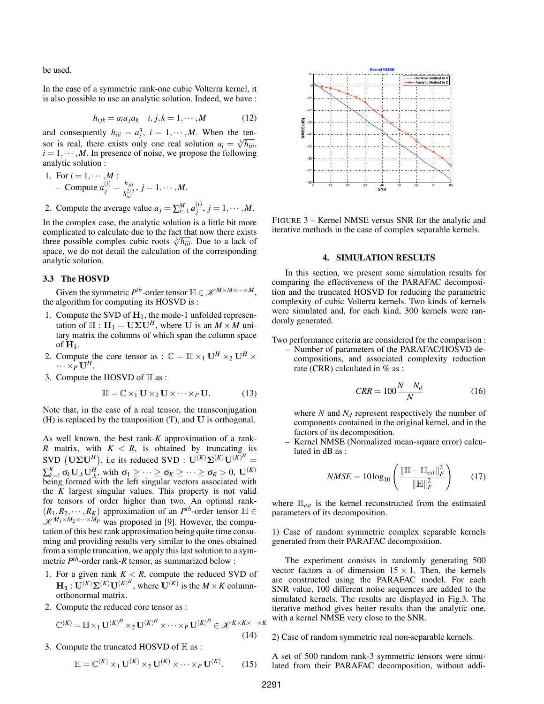be used.

In the case of a symmetric rank-one cubic Volterra kernel, it is also possible to use an analytic solution. Indeed, we have :

$$
h_{ijk} = a_i a_j a_k \quad i, j, k = 1, \cdots, M \tag{12}
$$

and consequently  $h_{iii} = a_i^3$ ,  $i = 1, \dots, M$ . When the tensor is real, there exists only one real solution  $a_i = \sqrt[3]{h_{iii}}$ ,  $i = 1, \dots, M$ . In presence of noise, we propose the following analytic solution :

1. For 
$$
i = 1, \dots, M
$$
:  
- Compute  $a_j^{(i)} = \frac{h_{jii}}{h_{iii}^{2/3}}, j = 1, \dots, M$ .

2. Compute the average value  $a_j = \sum_{i=1}^{M} a_j^{(i)}$  $j^{(i)}$ ,  $j = 1, \cdots, M$ .

In the complex case, the analytic solution is a little bit more complicated to calculate due to the fact that now there exists complicated to calculate due to the fact that now there exists three possible complex cubic roots  $\sqrt[3]{h_{iii}}$ . Due to a lack of space, we do not detail the calculation of the corresponding analytic solution.

# 3.3 The HOSVD

Given the symmetric  $P^{th}$ -order tensor  $\mathbb{H} \in \mathcal{K}^{M \times M \times \cdots \times M}$ , the algorithm for computing its HOSVD is :

- 1. Compute the SVD of  $H_1$ , the mode-1 unfolded representation of  $\mathbb{H}: \mathbf{H}_1 = \mathbf{U} \Sigma \mathbf{U}^H$ , where U is an  $M \times M$  unitary matrix the columns of which span the column space of  $H_1$ .
- 2. Compute the core tensor as :  $\mathbb{C} = \mathbb{H} \times_1 \mathbf{U}^H \times_2 \mathbf{U}^H \times_2 \mathbf{U}^H$  $\cdots \times_{P}^{\mathsf{T}} \mathbf{U}^{H}$ .
- 3. Compute the HOSVD of  $H$  as :

$$
\mathbb{H} = \mathbb{C} \times_1 \mathbf{U} \times_2 \mathbf{U} \times \cdots \times_P \mathbf{U}.
$$
 (13)

Note that, in the case of a real tensor, the transconjugation (H) is replaced by the tranposition (T), and U is orthogonal.

As well known, the best rank-*K* approximation of a rank-*R* matrix, with  $K < R$ , is obtained by truncating its SVD  $(\mathbf{U}\mathbf{\Sigma}\mathbf{U}^H)$ , i.e its reduced SVD :  $\mathbf{U}^{(K)}\mathbf{\Sigma}^{(K)}\mathbf{U}^{(K)^H}$  =  $\sum_{k=1}^{K} \sigma_k \mathbf{U}_k \mathbf{U}_k^H$ , with  $\sigma_1 \geq \cdots \geq \sigma_K \geq \cdots \geq \sigma_R > 0$ ,  $\mathbf{U}^{(K)}$ being formed with the left singular vectors associated with the *K* largest singular values. This property is not valid for tensors of order higher than two. An optimal rank-  $(R_1, R_2, \cdots, R_K)$  approximation of an  $P^{th}$ -order tensor  $\mathbb{H} \in$  $\mathcal{K}^{M_1 \times M_2 \times \cdots \times M_P}$  was proposed in [9]. However, the computation of this best rank approximation being quite time consuming and providing results very similar to the ones obtained from a simple truncation, we apply this last solution to a symmetric *P th*-order rank-*R* tensor, as summarized below :

- 1. For a given rank  $K < R$ , compute the reduced SVD of  $H_1: U^{(K)}\Sigma^{(K)}U^{(K)^H}$ , where  $U^{(K)}$  is the  $M \times K$  columnorthonormal matrix.
- 2. Compute the reduced core tensor as :

$$
\mathbb{C}^{(K)} = \mathbb{H} \times_1 \mathbf{U}^{(K)^H} \times_2 \mathbf{U}^{(K)^H} \times \cdots \times_P \mathbf{U}^{(K)^H} \in \mathcal{K}^{K \times K \times \cdots \times K}
$$
\n(14)

3. Compute the truncated HOSVD of H as :

$$
\mathbb{H} = \mathbb{C}^{(K)} \times_1 \mathbf{U}^{(K)} \times_2 \mathbf{U}^{(K)} \times \cdots \times_P \mathbf{U}^{(K)}.
$$
 (15)



FIGURE 3 – Kernel NMSE versus SNR for the analytic and iterative methods in the case of complex separable kernels.

#### 4. SIMULATION RESULTS

In this section, we present some simulation results for comparing the effectiveness of the PARAFAC decomposition and the truncated HOSVD for reducing the parametric complexity of cubic Volterra kernels. Two kinds of kernels were simulated and, for each kind, 300 kernels were randomly generated.

Two performance criteria are considered for the comparison :

– Number of parameters of the PARAFAC/HOSVD decompositions, and associated complexity reduction rate (CRR) calculated in % as :

$$
CRR = 100 \frac{N - N_d}{N} \tag{16}
$$

where *N* and *N<sup>d</sup>* represent respectively the number of components contained in the original kernel, and in the factors of its decomposition.

– Kernel NMSE (Normalized mean-square error) calculated in dB as :

$$
NMSE = 10\log_{10}\left(\frac{\|\mathbb{H} - \mathbb{H}_{est}\|_F^2}{\|\mathbb{H}\|_F^2}\right) \qquad (17)
$$

where H*est* is the kernel reconstructed from the estimated parameters of its decomposition.

1) Case of random symmetric complex separable kernels generated from their PARAFAC decomposition.

The experiment consists in randomly generating 500 vector factors a of dimension  $15 \times 1$ . Then, the kernels are constructed using the PARAFAC model. For each SNR value, 100 different noise sequences are added to the simulated kernels. The results are displayed in Fig.3. The iterative method gives better results than the analytic one, with a kernel NMSE very close to the SNR.

2) Case of random symmetric real non-separable kernels.

A set of 500 random rank-3 symmetric tensors were simulated from their PARAFAC decomposition, without addi-